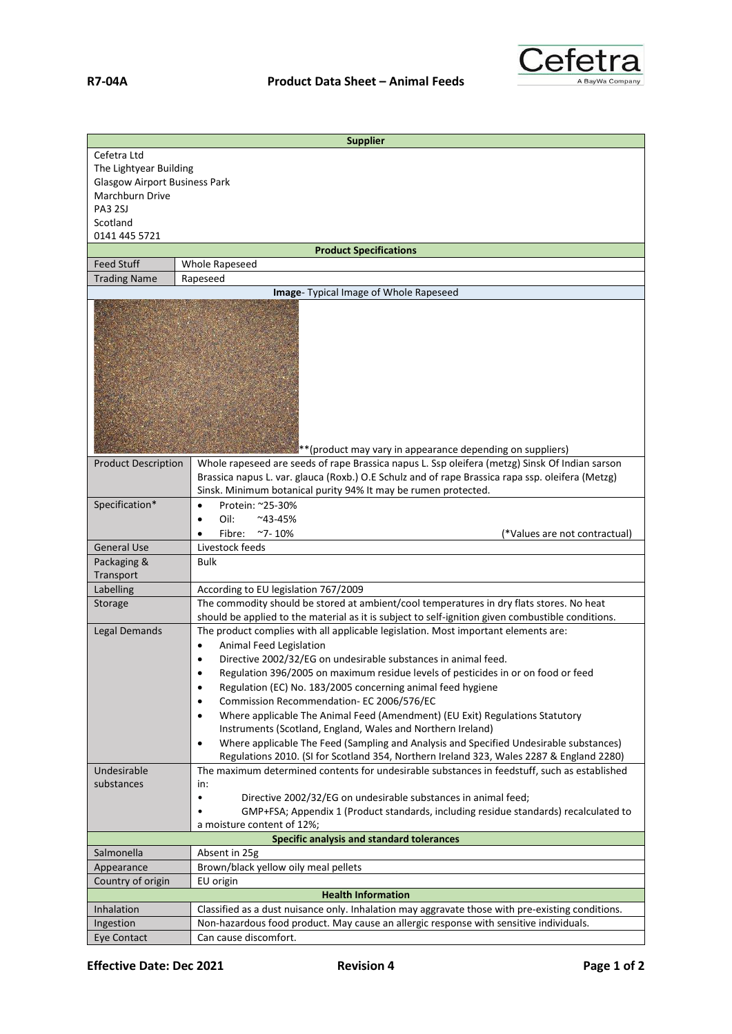

| <b>Supplier</b>                                                                                             |                                                                                                                                                                                                                                                                                                                                                                                                                                                                                                                                                                             |  |
|-------------------------------------------------------------------------------------------------------------|-----------------------------------------------------------------------------------------------------------------------------------------------------------------------------------------------------------------------------------------------------------------------------------------------------------------------------------------------------------------------------------------------------------------------------------------------------------------------------------------------------------------------------------------------------------------------------|--|
| Cefetra Ltd<br>The Lightyear Building<br><b>Glasgow Airport Business Park</b><br>Marchburn Drive<br>PA3 2SJ |                                                                                                                                                                                                                                                                                                                                                                                                                                                                                                                                                                             |  |
| Scotland<br>0141 445 5721                                                                                   |                                                                                                                                                                                                                                                                                                                                                                                                                                                                                                                                                                             |  |
| <b>Product Specifications</b>                                                                               |                                                                                                                                                                                                                                                                                                                                                                                                                                                                                                                                                                             |  |
| <b>Feed Stuff</b><br>Whole Rapeseed                                                                         |                                                                                                                                                                                                                                                                                                                                                                                                                                                                                                                                                                             |  |
| <b>Trading Name</b><br>Rapeseed                                                                             |                                                                                                                                                                                                                                                                                                                                                                                                                                                                                                                                                                             |  |
| Image- Typical Image of Whole Rapeseed                                                                      |                                                                                                                                                                                                                                                                                                                                                                                                                                                                                                                                                                             |  |
|                                                                                                             | ** (product may vary in appearance depending on suppliers)                                                                                                                                                                                                                                                                                                                                                                                                                                                                                                                  |  |
| <b>Product Description</b>                                                                                  | Whole rapeseed are seeds of rape Brassica napus L. Ssp oleifera (metzg) Sinsk Of Indian sarson<br>Brassica napus L. var. glauca (Roxb.) O.E Schulz and of rape Brassica rapa ssp. oleifera (Metzg)<br>Sinsk. Minimum botanical purity 94% It may be rumen protected.                                                                                                                                                                                                                                                                                                        |  |
| Specification*                                                                                              | Protein: ~25-30%<br>$\bullet$<br>Oil:<br>$^{\sim}$ 43-45%<br>Fibre:<br>$~7 - 10%$<br>(*Values are not contractual)                                                                                                                                                                                                                                                                                                                                                                                                                                                          |  |
| <b>General Use</b>                                                                                          | Livestock feeds                                                                                                                                                                                                                                                                                                                                                                                                                                                                                                                                                             |  |
| Packaging &                                                                                                 | <b>Bulk</b>                                                                                                                                                                                                                                                                                                                                                                                                                                                                                                                                                                 |  |
| Transport                                                                                                   |                                                                                                                                                                                                                                                                                                                                                                                                                                                                                                                                                                             |  |
| Labelling<br>Storage                                                                                        | According to EU legislation 767/2009<br>The commodity should be stored at ambient/cool temperatures in dry flats stores. No heat                                                                                                                                                                                                                                                                                                                                                                                                                                            |  |
|                                                                                                             | should be applied to the material as it is subject to self-ignition given combustible conditions.                                                                                                                                                                                                                                                                                                                                                                                                                                                                           |  |
| Legal Demands                                                                                               | The product complies with all applicable legislation. Most important elements are:<br>Animal Feed Legislation<br>$\bullet$<br>Directive 2002/32/EG on undesirable substances in animal feed.<br>Regulation 396/2005 on maximum residue levels of pesticides in or on food or feed<br>Regulation (EC) No. 183/2005 concerning animal feed hygiene<br>$\bullet$<br>Commission Recommendation- EC 2006/576/EC<br>$\bullet$<br>Where applicable The Animal Feed (Amendment) (EU Exit) Regulations Statutory<br>٠<br>Instruments (Scotland, England, Wales and Northern Ireland) |  |
|                                                                                                             | Where applicable The Feed (Sampling and Analysis and Specified Undesirable substances)<br>$\bullet$<br>Regulations 2010. (SI for Scotland 354, Northern Ireland 323, Wales 2287 & England 2280)                                                                                                                                                                                                                                                                                                                                                                             |  |
| Undesirable<br>substances                                                                                   | The maximum determined contents for undesirable substances in feedstuff, such as established<br>in:<br>Directive 2002/32/EG on undesirable substances in animal feed;<br>$\bullet$<br>GMP+FSA; Appendix 1 (Product standards, including residue standards) recalculated to<br>٠<br>a moisture content of 12%;                                                                                                                                                                                                                                                               |  |
| Specific analysis and standard tolerances                                                                   |                                                                                                                                                                                                                                                                                                                                                                                                                                                                                                                                                                             |  |
| Salmonella                                                                                                  | Absent in 25g                                                                                                                                                                                                                                                                                                                                                                                                                                                                                                                                                               |  |
| Appearance                                                                                                  | Brown/black yellow oily meal pellets                                                                                                                                                                                                                                                                                                                                                                                                                                                                                                                                        |  |
| Country of origin                                                                                           | EU origin<br><b>Health Information</b>                                                                                                                                                                                                                                                                                                                                                                                                                                                                                                                                      |  |
| Inhalation                                                                                                  | Classified as a dust nuisance only. Inhalation may aggravate those with pre-existing conditions.                                                                                                                                                                                                                                                                                                                                                                                                                                                                            |  |
| Ingestion                                                                                                   | Non-hazardous food product. May cause an allergic response with sensitive individuals.                                                                                                                                                                                                                                                                                                                                                                                                                                                                                      |  |
| Eye Contact                                                                                                 | Can cause discomfort.                                                                                                                                                                                                                                                                                                                                                                                                                                                                                                                                                       |  |